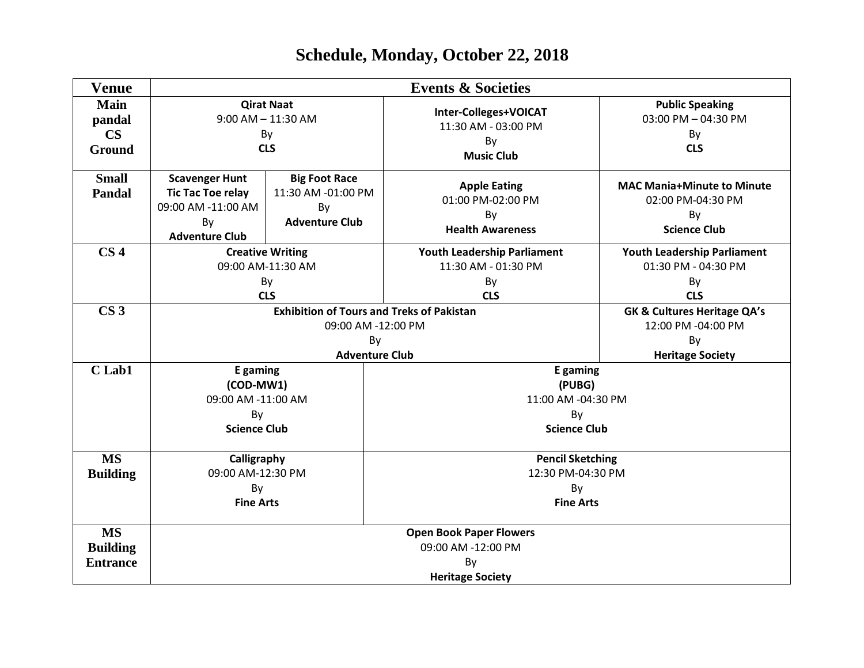## **Schedule, Monday, October 22, 2018**

| <b>Venue</b>                                     | <b>Events &amp; Societies</b>                                                                          |                                                                           |                                                                           |                                                                                               |  |
|--------------------------------------------------|--------------------------------------------------------------------------------------------------------|---------------------------------------------------------------------------|---------------------------------------------------------------------------|-----------------------------------------------------------------------------------------------|--|
| <b>Main</b><br>pandal<br>$\mathbf{CS}$<br>Ground | <b>Qirat Naat</b><br>$9:00$ AM $- 11:30$ AM<br>By<br><b>CLS</b>                                        |                                                                           | Inter-Colleges+VOICAT<br>11:30 AM - 03:00 PM<br>By<br><b>Music Club</b>   | <b>Public Speaking</b><br>03:00 PM - 04:30 PM<br>By<br><b>CLS</b>                             |  |
| <b>Small</b><br>Pandal                           | <b>Scavenger Hunt</b><br><b>Tic Tac Toe relay</b><br>09:00 AM -11:00 AM<br>By<br><b>Adventure Club</b> | <b>Big Foot Race</b><br>11:30 AM -01:00 PM<br>By<br><b>Adventure Club</b> | <b>Apple Eating</b><br>01:00 PM-02:00 PM<br>By<br><b>Health Awareness</b> | <b>MAC Mania+Minute to Minute</b><br>02:00 PM-04:30 PM<br>By<br><b>Science Club</b>           |  |
| CS <sub>4</sub>                                  | <b>Creative Writing</b><br>09:00 AM-11:30 AM<br>By                                                     |                                                                           | Youth Leadership Parliament<br>11:30 AM - 01:30 PM<br>By                  | Youth Leadership Parliament<br>01:30 PM - 04:30 PM<br>By                                      |  |
|                                                  | <b>CLS</b>                                                                                             |                                                                           | <b>CLS</b>                                                                | <b>CLS</b>                                                                                    |  |
| CS <sub>3</sub>                                  | <b>Exhibition of Tours and Treks of Pakistan</b><br>09:00 AM -12:00 PM<br>By<br><b>Adventure Club</b>  |                                                                           |                                                                           | <b>GK &amp; Cultures Heritage QA's</b><br>12:00 PM -04:00 PM<br>By<br><b>Heritage Society</b> |  |
| C Lab1                                           | E gaming<br>$(COD-MW1)$<br>09:00 AM -11:00 AM<br>By<br><b>Science Club</b>                             |                                                                           | E gaming<br>(PUBG)<br>11:00 AM -04:30 PM<br>By<br><b>Science Club</b>     |                                                                                               |  |
| <b>MS</b><br><b>Building</b>                     | Calligraphy<br>09:00 AM-12:30 PM<br>By<br><b>Fine Arts</b>                                             |                                                                           | <b>Pencil Sketching</b><br>12:30 PM-04:30 PM<br>By<br><b>Fine Arts</b>    |                                                                                               |  |
| <b>MS</b><br><b>Building</b><br><b>Entrance</b>  | <b>Open Book Paper Flowers</b><br>09:00 AM -12:00 PM<br>By<br><b>Heritage Society</b>                  |                                                                           |                                                                           |                                                                                               |  |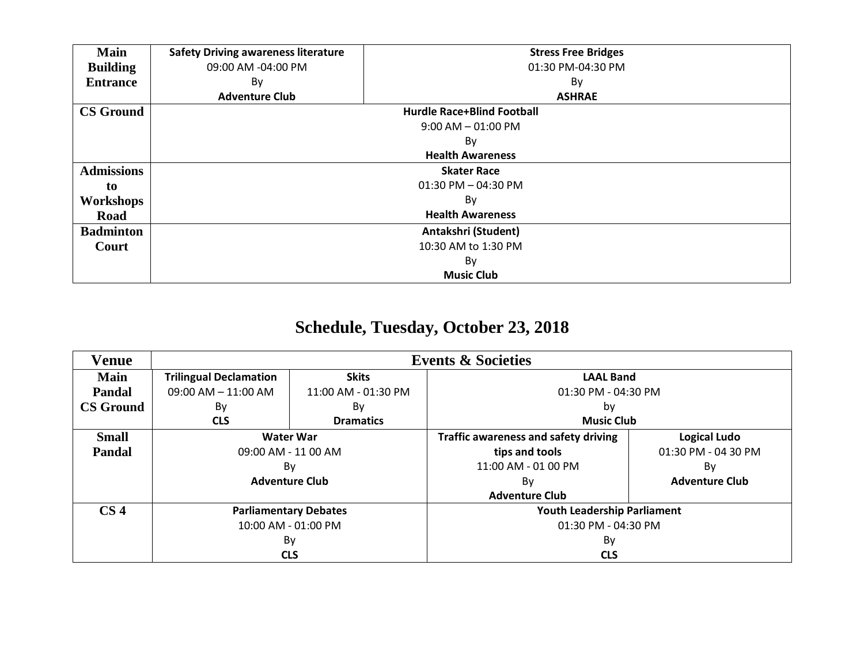| <b>Main</b>       | <b>Safety Driving awareness literature</b> | <b>Stress Free Bridges</b>        |  |  |
|-------------------|--------------------------------------------|-----------------------------------|--|--|
| <b>Building</b>   | 09:00 AM -04:00 PM                         | 01:30 PM-04:30 PM                 |  |  |
| <b>Entrance</b>   | By                                         | By                                |  |  |
|                   | <b>Adventure Club</b>                      | <b>ASHRAE</b>                     |  |  |
| <b>CS Ground</b>  |                                            | <b>Hurdle Race+Blind Football</b> |  |  |
|                   |                                            | $9:00$ AM $-$ 01:00 PM            |  |  |
|                   |                                            | By                                |  |  |
|                   |                                            | <b>Health Awareness</b>           |  |  |
| <b>Admissions</b> |                                            | <b>Skater Race</b>                |  |  |
| to                |                                            | $01:30$ PM $-04:30$ PM            |  |  |
| Workshops         | By                                         |                                   |  |  |
| Road              | <b>Health Awareness</b>                    |                                   |  |  |
| <b>Badminton</b>  | Antakshri (Student)                        |                                   |  |  |
| Court             | 10:30 AM to 1:30 PM                        |                                   |  |  |
|                   |                                            | By                                |  |  |
|                   | <b>Music Club</b>                          |                                   |  |  |

## **Schedule, Tuesday, October 23, 2018**

| Venue            | <b>Events &amp; Societies</b>                  |                                  |                                             |                       |  |
|------------------|------------------------------------------------|----------------------------------|---------------------------------------------|-----------------------|--|
| <b>Main</b>      | <b>Trilingual Declamation</b>                  | <b>Skits</b><br><b>LAAL Band</b> |                                             |                       |  |
| Pandal           | $09:00$ AM $- 11:00$ AM<br>11:00 AM - 01:30 PM |                                  | 01:30 PM - 04:30 PM                         |                       |  |
| <b>CS Ground</b> | By                                             | By                               | by                                          |                       |  |
|                  | <b>CLS</b>                                     | <b>Dramatics</b>                 | <b>Music Club</b>                           |                       |  |
| <b>Small</b>     | Water War                                      |                                  | <b>Traffic awareness and safety driving</b> | <b>Logical Ludo</b>   |  |
| Pandal           | 09:00 AM - 11 00 AM                            |                                  | tips and tools                              | 01:30 PM - 04 30 PM   |  |
|                  | By                                             |                                  | 11:00 AM - 01 00 PM                         | By                    |  |
|                  | <b>Adventure Club</b>                          |                                  | By                                          | <b>Adventure Club</b> |  |
|                  |                                                |                                  | <b>Adventure Club</b>                       |                       |  |
| CS <sub>4</sub>  | <b>Parliamentary Debates</b>                   |                                  | <b>Youth Leadership Parliament</b>          |                       |  |
|                  | 10:00 AM - 01:00 PM                            |                                  | 01:30 PM - 04:30 PM                         |                       |  |
|                  | By                                             |                                  | By                                          |                       |  |
|                  | <b>CLS</b>                                     |                                  | <b>CLS</b>                                  |                       |  |